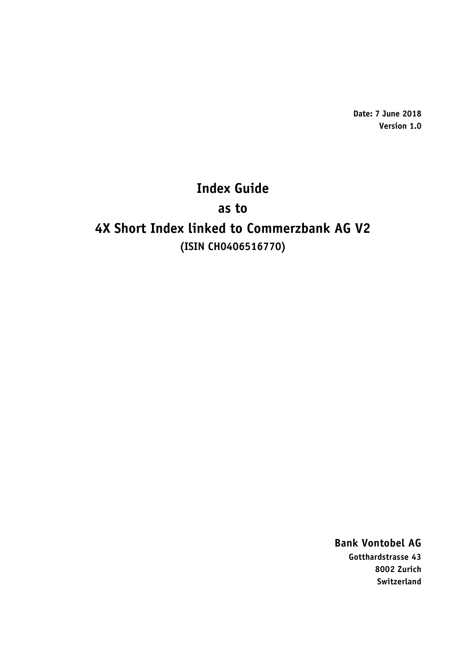**Date: 7 June 2018 Version 1.0**

# **Index Guide**

**as to**

# **4X Short Index linked to Commerzbank AG V2 (ISIN CH0406516770)**

**Bank Vontobel AG Gotthardstrasse 43 8002 Zurich Switzerland**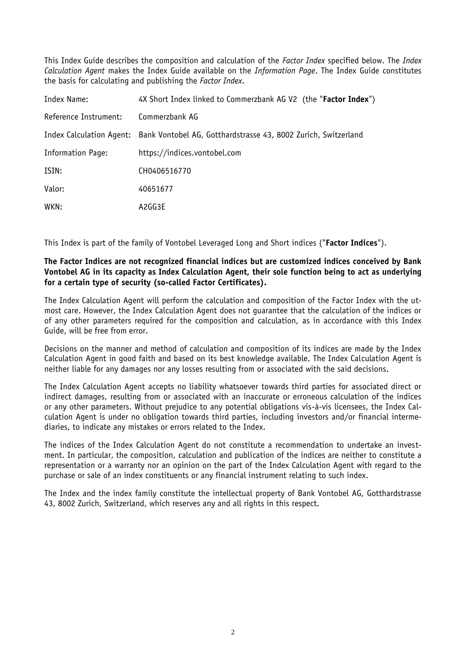This Index Guide describes the composition and calculation of the *Factor Index* specified below. The *Index Calculation Agent* makes the Index Guide available on the *Information Page*. The Index Guide constitutes the basis for calculating and publishing the *Factor Index*.

| Index Name:           | 4X Short Index linked to Commerzbank AG V2 (the "Factor Index")                         |
|-----------------------|-----------------------------------------------------------------------------------------|
| Reference Instrument: | Commerzbank AG                                                                          |
|                       | Index Calculation Agent: Bank Vontobel AG, Gotthardstrasse 43, 8002 Zurich, Switzerland |
| Information Page:     | https://indices.vontobel.com                                                            |
| ISIN:                 | CH0406516770                                                                            |
| Valor:                | 40651677                                                                                |
| WKN:                  | A2GG3E                                                                                  |

This Index is part of the family of Vontobel Leveraged Long and Short indices ("**Factor Indices**").

## **The Factor Indices are not recognized financial indices but are customized indices conceived by Bank Vontobel AG in its capacity as Index Calculation Agent, their sole function being to act as underlying for a certain type of security (so-called Factor Certificates).**

The Index Calculation Agent will perform the calculation and composition of the Factor Index with the utmost care. However, the Index Calculation Agent does not guarantee that the calculation of the indices or of any other parameters required for the composition and calculation, as in accordance with this Index Guide, will be free from error.

Decisions on the manner and method of calculation and composition of its indices are made by the Index Calculation Agent in good faith and based on its best knowledge available. The Index Calculation Agent is neither liable for any damages nor any losses resulting from or associated with the said decisions.

The Index Calculation Agent accepts no liability whatsoever towards third parties for associated direct or indirect damages, resulting from or associated with an inaccurate or erroneous calculation of the indices or any other parameters. Without prejudice to any potential obligations vis-à-vis licensees, the Index Calculation Agent is under no obligation towards third parties, including investors and/or financial intermediaries, to indicate any mistakes or errors related to the Index.

The indices of the Index Calculation Agent do not constitute a recommendation to undertake an investment. In particular, the composition, calculation and publication of the indices are neither to constitute a representation or a warranty nor an opinion on the part of the Index Calculation Agent with regard to the purchase or sale of an index constituents or any financial instrument relating to such index.

The Index and the index family constitute the intellectual property of Bank Vontobel AG, Gotthardstrasse 43, 8002 Zurich, Switzerland, which reserves any and all rights in this respect.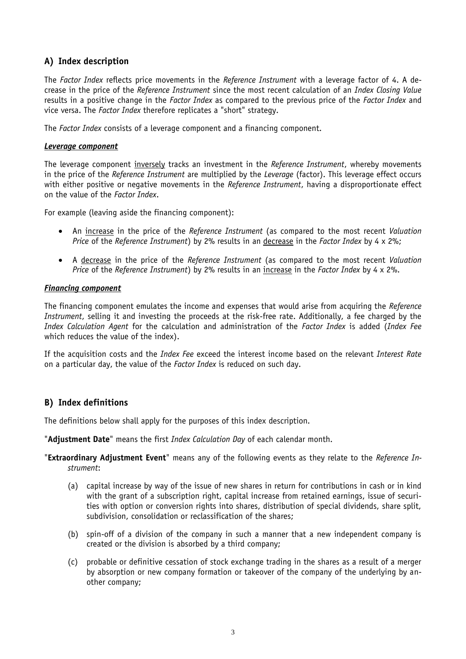# **A) Index description**

The *Factor Index* reflects price movements in the *Reference Instrument* with a leverage factor of 4. A decrease in the price of the *Reference Instrument* since the most recent calculation of an *Index Closing Value* results in a positive change in the *Factor Index* as compared to the previous price of the *Factor Index* and vice versa. The *Factor Index* therefore replicates a "short" strategy.

The *Factor Index* consists of a leverage component and a financing component.

#### *Leverage component*

The leverage component inversely tracks an investment in the *Reference Instrument*, whereby movements in the price of the *Reference Instrument* are multiplied by the *Leverage* (factor). This leverage effect occurs with either positive or negative movements in the *Reference Instrument*, having a disproportionate effect on the value of the *Factor Index*.

For example (leaving aside the financing component):

- An increase in the price of the *Reference Instrument* (as compared to the most recent *Valuation Price* of the *Reference Instrument*) by 2% results in an decrease in the *Factor Index* by 4 x 2%;
- A decrease in the price of the *Reference Instrument* (as compared to the most recent *Valuation Price* of the *Reference Instrument*) by 2% results in an increase in the *Factor Index* by 4 x 2%.

### *Financing component*

The financing component emulates the income and expenses that would arise from acquiring the *Reference Instrument*, selling it and investing the proceeds at the risk-free rate. Additionally, a fee charged by the *Index Calculation Agent* for the calculation and administration of the *Factor Index* is added (*Index Fee* which reduces the value of the index).

If the acquisition costs and the *Index Fee* exceed the interest income based on the relevant *Interest Rate* on a particular day, the value of the *Factor Index* is reduced on such day.

# **B) Index definitions**

The definitions below shall apply for the purposes of this index description.

"**Adjustment Date**" means the first *Index Calculation Day* of each calendar month.

"**Extraordinary Adjustment Event**" means any of the following events as they relate to the *Reference Instrument*:

- (a) capital increase by way of the issue of new shares in return for contributions in cash or in kind with the grant of a subscription right, capital increase from retained earnings, issue of securities with option or conversion rights into shares, distribution of special dividends, share split, subdivision, consolidation or reclassification of the shares;
- (b) spin-off of a division of the company in such a manner that a new independent company is created or the division is absorbed by a third company;
- (c) probable or definitive cessation of stock exchange trading in the shares as a result of a merger by absorption or new company formation or takeover of the company of the underlying by another company;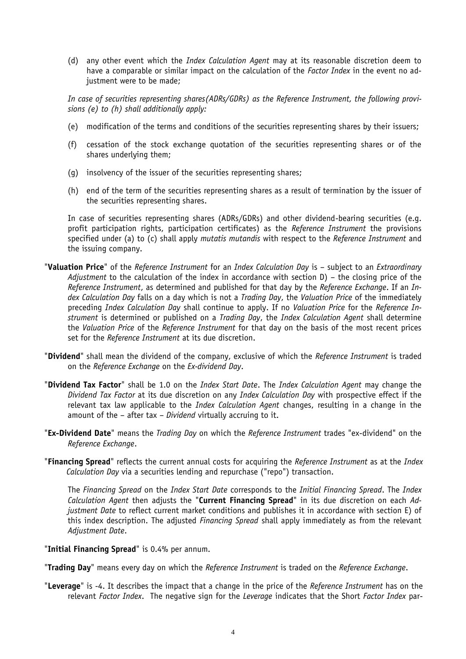(d) any other event which the *Index Calculation Agent* may at its reasonable discretion deem to have a comparable or similar impact on the calculation of the *Factor Index* in the event no adjustment were to be made;

*In case of securities representing shares(ADRs/GDRs) as the Reference Instrument, the following provisions (e) to (h) shall additionally apply:*

- (e) modification of the terms and conditions of the securities representing shares by their issuers;
- (f) cessation of the stock exchange quotation of the securities representing shares or of the shares underlying them;
- (g) insolvency of the issuer of the securities representing shares;
- (h) end of the term of the securities representing shares as a result of termination by the issuer of the securities representing shares.

In case of securities representing shares (ADRs/GDRs) and other dividend-bearing securities (e.g. profit participation rights, participation certificates) as the *Reference Instrument* the provisions specified under (a) to (c) shall apply *mutatis mutandis* with respect to the *Reference Instrument* and the issuing company.

- "**Valuation Price**" of the *Reference Instrument* for an *Index Calculation Day* is subject to an *Extraordinary Adjustment* to the calculation of the index in accordance with section D) – the closing price of the *Reference Instrument*, as determined and published for that day by the *Reference Exchange*. If an *Index Calculation Day* falls on a day which is not a *Trading Day*, the *Valuation Price* of the immediately preceding *Index Calculation Day* shall continue to apply. If no *Valuation Price* for the *Reference Instrument* is determined or published on a *Trading Day*, the *Index Calculation Agent* shall determine the *Valuation Price* of the *Reference Instrument* for that day on the basis of the most recent prices set for the *Reference Instrument* at its due discretion.
- "**Dividend**" shall mean the dividend of the company, exclusive of which the *Reference Instrument* is traded on the *Reference Exchange* on the *Ex-dividend Day*.
- "**Dividend Tax Factor**" shall be 1.0 on the *Index Start Date*. The *Index Calculation Agent* may change the *Dividend Tax Factor* at its due discretion on any *Index Calculation Day* with prospective effect if the relevant tax law applicable to the *Index Calculation Agent* changes, resulting in a change in the amount of the – after tax – *Dividend* virtually accruing to it.
- "**Ex-Dividend Date**" means the *Trading Day* on which the *Reference Instrument* trades "ex-dividend" on the *Reference Exchange*.
- "**Financing Spread**" reflects the current annual costs for acquiring the *Reference Instrument* as at the *Index Calculation Day* via a securities lending and repurchase ("repo") transaction.

The *Financing Spread* on the *Index Start Date* corresponds to the *Initial Financing Spread*. The *Index Calculation Agent* then adjusts the "**Current Financing Spread**" in its due discretion on each *Adjustment Date* to reflect current market conditions and publishes it in accordance with section E) of this index description. The adjusted *Financing Spread* shall apply immediately as from the relevant *Adjustment Date*.

#### "**Initial Financing Spread**" is 0.4% per annum.

"**Trading Day**" means every day on which the *Reference Instrument* is traded on the *Reference Exchange*.

"**Leverage**" is -4. It describes the impact that a change in the price of the *Reference Instrument* has on the relevant *Factor Index*. The negative sign for the *Leverage* indicates that the Short *Factor Index* par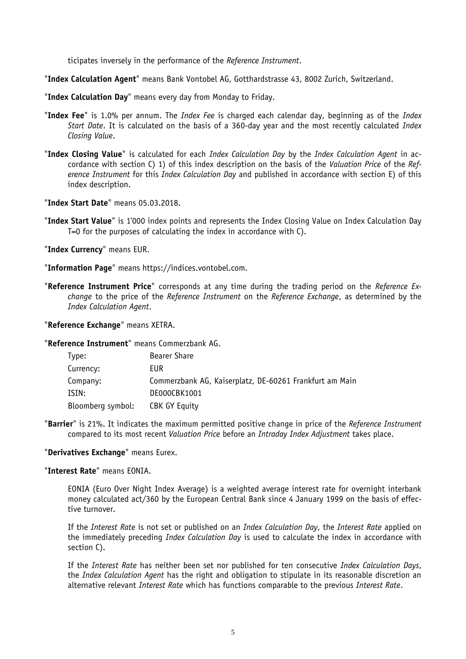ticipates inversely in the performance of the *Reference Instrument*.

"**Index Calculation Agent**" means Bank Vontobel AG, Gotthardstrasse 43, 8002 Zurich, Switzerland.

"**Index Calculation Day**" means every day from Monday to Friday.

- "**Index Fee**" is 1.0% per annum. The *Index Fee* is charged each calendar day, beginning as of the *Index Start Date*. It is calculated on the basis of a 360-day year and the most recently calculated *Index Closing Value*.
- "**Index Closing Value**" is calculated for each *Index Calculation Day* by the *Index Calculation Agent* in accordance with section C) 1) of this index description on the basis of the *Valuation Price* of the *Reference Instrument* for this *Index Calculation Day* and published in accordance with section E) of this index description.

"**Index Start Date**" means 05.03.2018.

"**Index Start Value**" is 1'000 index points and represents the Index Closing Value on Index Calculation Day T=0 for the purposes of calculating the index in accordance with C).

"**Index Currency**" means EUR.

"**Information Page**" means https://indices.vontobel.com.

"**Reference Instrument Price**" corresponds at any time during the trading period on the *Reference Exchange* to the price of the *Reference Instrument* on the *Reference Exchange*, as determined by the *Index Calculation Agent*.

"**Reference Exchange**" means XETRA.

"**Reference Instrument**" means Commerzbank AG.

| Bearer Share                                            |
|---------------------------------------------------------|
| EUR                                                     |
| Commerzbank AG, Kaiserplatz, DE-60261 Frankfurt am Main |
| DE000CBK1001                                            |
| CBK GY Equity                                           |
|                                                         |

"**Barrier**" is 21%. It indicates the maximum permitted positive change in price of the *Reference Instrument*  compared to its most recent *Valuation Price* before an *Intraday Index Adjustment* takes place.

#### "**Derivatives Exchange**" means Eurex.

#### "**Interest Rate**" means EONIA.

EONIA (Euro Over Night Index Average) is a weighted average interest rate for overnight interbank money calculated act/360 by the European Central Bank since 4 January 1999 on the basis of effective turnover.

If the *Interest Rate* is not set or published on an *Index Calculation Day*, the *Interest Rate* applied on the immediately preceding *Index Calculation Day* is used to calculate the index in accordance with section C).

If the *Interest Rate* has neither been set nor published for ten consecutive *Index Calculation Days*, the *Index Calculation Agent* has the right and obligation to stipulate in its reasonable discretion an alternative relevant *Interest Rate* which has functions comparable to the previous *Interest Rate*.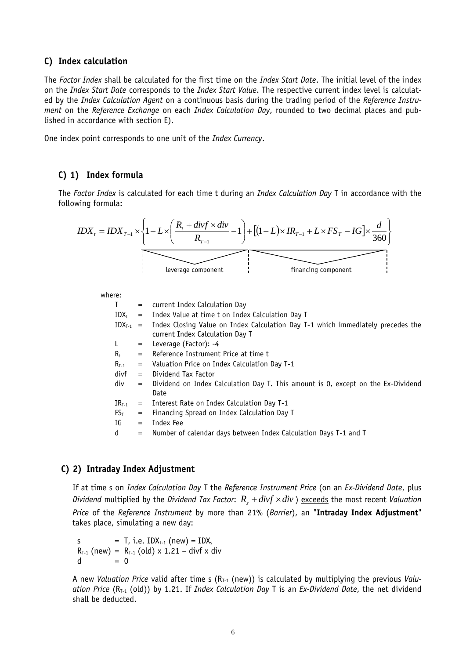#### **C) Index calculation**

The *Factor Index* shall be calculated for the first time on the *Index Start Date*. The initial level of the index on the *Index Start Date* corresponds to the *Index Start Value*. The respective current index level is calculated by the *Index Calculation Agent* on a continuous basis during the trading period of the *Reference Instrument* on the *Reference Exchange* on each *Index Calculation Day*, rounded to two decimal places and published in accordance with section E).

One index point corresponds to one unit of the *Index Currency*.

### **C) 1) Index formula**

The *Factor Index* is calculated for each time t during an *Index Calculation Day* T in accordance with the following formula:

$$
IDX_{t} = IDX_{T-1} \times \left\{ 1 + L \times \left( \frac{R_{t} + divf \times div}{R_{T-1}} - 1 \right) + \left[ (1 - L) \times IR_{T-1} + L \times FS_{T} - IG \right] \times \frac{d}{360} \right\}
$$
  
leverage component

where:

| T.         | $=$               | current Index Calculation Day                                                                                                    |
|------------|-------------------|----------------------------------------------------------------------------------------------------------------------------------|
| $IDX_t$    |                   | = Index Value at time t on Index Calculation Day T                                                                               |
|            |                   | $IDX_{T-1}$ = Index Closing Value on Index Calculation Day T-1 which immediately precedes the<br>current Index Calculation Day T |
| L.         | $=$               | Leverage (Factor): -4                                                                                                            |
| $R_t$      | $=$               | Reference Instrument Price at time t                                                                                             |
| $R_{T-1}$  | $=$               | Valuation Price on Index Calculation Day T-1                                                                                     |
| divf       | $=$               | Dividend Tax Factor                                                                                                              |
| div        | $=$               | Dividend on Index Calculation Day T. This amount is 0, except on the Ex-Dividend<br>Date                                         |
| $IR_{T-1}$ | $=$               | Interest Rate on Index Calculation Day T-1                                                                                       |
| $FS_T$     | $\qquad \qquad =$ | Financing Spread on Index Calculation Day T                                                                                      |
| IG         | $=$               | Index Fee                                                                                                                        |
| d          | $=$               | Number of calendar days between Index Calculation Days T-1 and T                                                                 |

## **C) 2) Intraday Index Adjustment**

If at time s on *Index Calculation Day* T the *Reference Instrument Price* (on an *Ex-Dividend Date*, plus *Dividend* multiplied by the *Dividend Tax Factor:*  $R_{_S} + div f \times div$  ) <u>exceeds</u> the most recent *Valuation Price* of the *Reference Instrument* by more than 21% (*Barrier*), an "**Intraday Index Adjustment**" takes place, simulating a new day:

s = T, i.e.  $IDX_{T-1}$  (new) =  $IDX_s$  $R_{T-1}$  (new) =  $R_{T-1}$  (old) x 1.21 – divf x div  $d = 0$ 

A new *Valuation Price* valid after time s (R<sub>T-1</sub> (new)) is calculated by multiplying the previous *Valuation Price* (R<sub>T-1</sub> (old)) by 1.21. If *Index Calculation Day* T is an *Ex-Dividend Date*, the net dividend shall be deducted.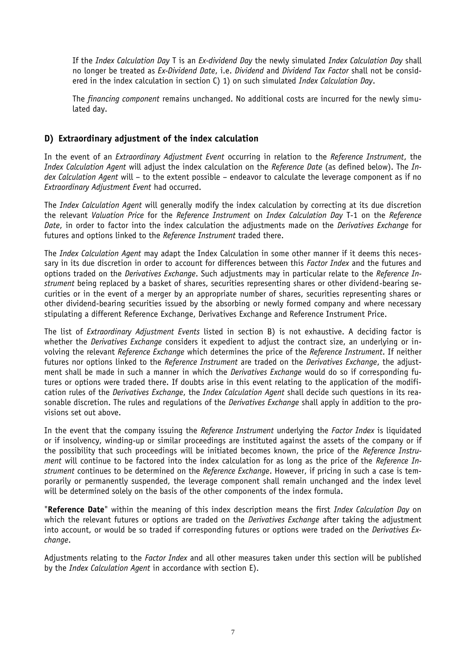If the *Index Calculation Day* T is an *Ex-dividend Day* the newly simulated *Index Calculation Day* shall no longer be treated as *Ex-Dividend Date*, i.e. *Dividend* and *Dividend Tax Factor* shall not be considered in the index calculation in section C) 1) on such simulated *Index Calculation Day*.

The *financing component* remains unchanged. No additional costs are incurred for the newly simulated day.

## **D) Extraordinary adjustment of the index calculation**

In the event of an *Extraordinary Adjustment Event* occurring in relation to the *Reference Instrument*, the *Index Calculation Agent* will adjust the index calculation on the *Reference Date* (as defined below). The *Index Calculation Agent* will – to the extent possible – endeavor to calculate the leverage component as if no *Extraordinary Adjustment Event* had occurred.

The *Index Calculation Agent* will generally modify the index calculation by correcting at its due discretion the relevant *Valuation Price* for the *Reference Instrument* on *Index Calculation Day* T-1 on the *Reference Date*, in order to factor into the index calculation the adjustments made on the *Derivatives Exchange* for futures and options linked to the *Reference Instrument* traded there.

The *Index Calculation Agent* may adapt the Index Calculation in some other manner if it deems this necessary in its due discretion in order to account for differences between this *Factor Index* and the futures and options traded on the *Derivatives Exchange*. Such adjustments may in particular relate to the *Reference Instrument* being replaced by a basket of shares, securities representing shares or other dividend-bearing securities or in the event of a merger by an appropriate number of shares, securities representing shares or other dividend-bearing securities issued by the absorbing or newly formed company and where necessary stipulating a different Reference Exchange, Derivatives Exchange and Reference Instrument Price.

The list of *Extraordinary Adjustment Events* listed in section B) is not exhaustive. A deciding factor is whether the *Derivatives Exchange* considers it expedient to adjust the contract size, an underlying or involving the relevant *Reference Exchange* which determines the price of the *Reference Instrument*. If neither futures nor options linked to the *Reference Instrument* are traded on the *Derivatives Exchange*, the adjustment shall be made in such a manner in which the *Derivatives Exchange* would do so if corresponding futures or options were traded there. If doubts arise in this event relating to the application of the modification rules of the *Derivatives Exchange*, the *Index Calculation Agent* shall decide such questions in its reasonable discretion. The rules and regulations of the *Derivatives Exchange* shall apply in addition to the provisions set out above.

In the event that the company issuing the *Reference Instrument* underlying the *Factor Index* is liquidated or if insolvency, winding-up or similar proceedings are instituted against the assets of the company or if the possibility that such proceedings will be initiated becomes known, the price of the *Reference Instrument* will continue to be factored into the index calculation for as long as the price of the *Reference Instrument* continues to be determined on the *Reference Exchange*. However, if pricing in such a case is temporarily or permanently suspended, the leverage component shall remain unchanged and the index level will be determined solely on the basis of the other components of the index formula.

"**Reference Date**" within the meaning of this index description means the first *Index Calculation Day* on which the relevant futures or options are traded on the *Derivatives Exchange* after taking the adjustment into account, or would be so traded if corresponding futures or options were traded on the *Derivatives Exchange*.

Adjustments relating to the *Factor Index* and all other measures taken under this section will be published by the *Index Calculation Agent* in accordance with section E).